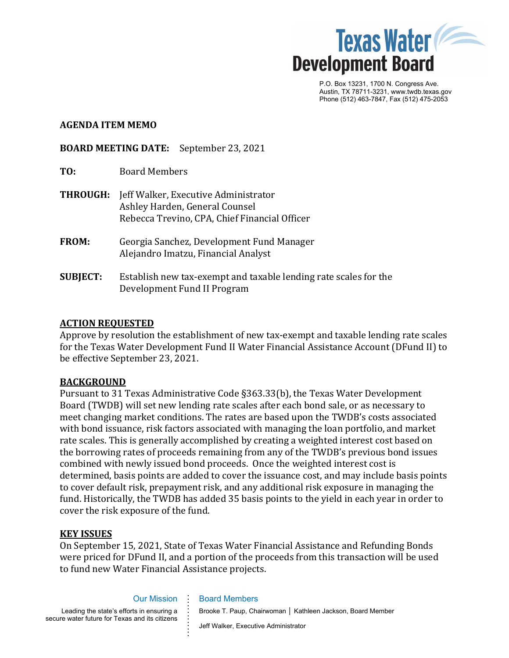

P.O. Box 13231, 1700 N. Congress Ave. Austin, TX 78711-3231, www.twdb.texas.gov Phone (512) 463-7847, Fax (512) 475-2053

#### **AGENDA ITEM MEMO**

**BOARD MEETING DATE:** September 23, 2021

| TO: | <b>Board Members</b> |
|-----|----------------------|
|     |                      |

- **THROUGH:** Jeff Walker, Executive Administrator Ashley Harden, General Counsel Rebecca Trevino, CPA, Chief Financial Officer
- **FROM:** Georgia Sanchez, Development Fund Manager Alejandro Imatzu, Financial Analyst
- **SUBJECT:** Establish new tax-exempt and taxable lending rate scales for the Development Fund II Program

#### **ACTION REQUESTED**

Approve by resolution the establishment of new tax-exempt and taxable lending rate scales for the Texas Water Development Fund II Water Financial Assistance Account (DFund II) to be effective September 23, 2021.

#### **BACKGROUND**

Pursuant to 31 Texas Administrative Code §363.33(b), the Texas Water Development Board (TWDB) will set new lending rate scales after each bond sale, or as necessary to meet changing market conditions. The rates are based upon the TWDB's costs associated with bond issuance, risk factors associated with managing the loan portfolio, and market rate scales. This is generally accomplished by creating a weighted interest cost based on the borrowing rates of proceeds remaining from any of the TWDB's previous bond issues combined with newly issued bond proceeds. Once the weighted interest cost is determined, basis points are added to cover the issuance cost, and may include basis points to cover default risk, prepayment risk, and any additional risk exposure in managing the fund. Historically, the TWDB has added 35 basis points to the yield in each year in order to cover the risk exposure of the fund.

#### **KEY ISSUES**

On September 15, 2021, State of Texas Water Financial Assistance and Refunding Bonds were priced for DFund II, and a portion of the proceeds from this transaction will be used to fund new Water Financial Assistance projects.

#### Our Mission

**. . . .** Board Members

**. . . . . . . . .**

Leading the state's efforts in ensuring a secure water future for Texas and its citizens

Brooke T. Paup, Chairwoman │ Kathleen Jackson, Board Member

Jeff Walker, Executive Administrator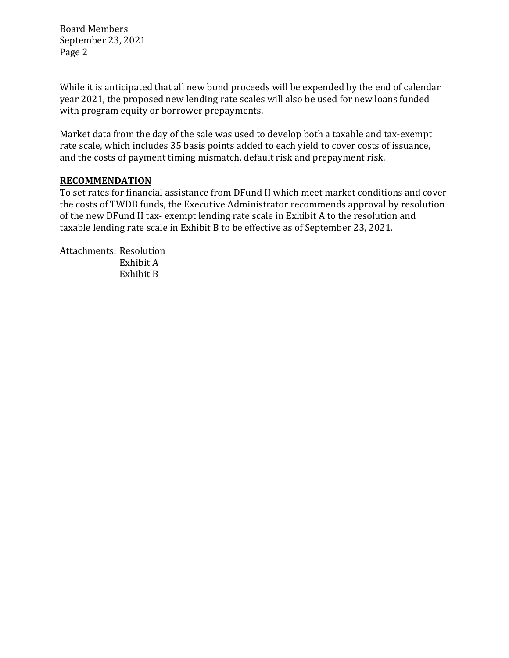Board Members September 23, 2021 Page 2

While it is anticipated that all new bond proceeds will be expended by the end of calendar year 2021, the proposed new lending rate scales will also be used for new loans funded with program equity or borrower prepayments.

Market data from the day of the sale was used to develop both a taxable and tax-exempt rate scale, which includes 35 basis points added to each yield to cover costs of issuance, and the costs of payment timing mismatch, default risk and prepayment risk.

#### **RECOMMENDATION**

To set rates for financial assistance from DFund II which meet market conditions and cover the costs of TWDB funds, the Executive Administrator recommends approval by resolution of the new DFund II tax- exempt lending rate scale in Exhibit A to the resolution and taxable lending rate scale in Exhibit B to be effective as of September 23, 2021.

Attachments: Resolution Exhibit A Exhibit B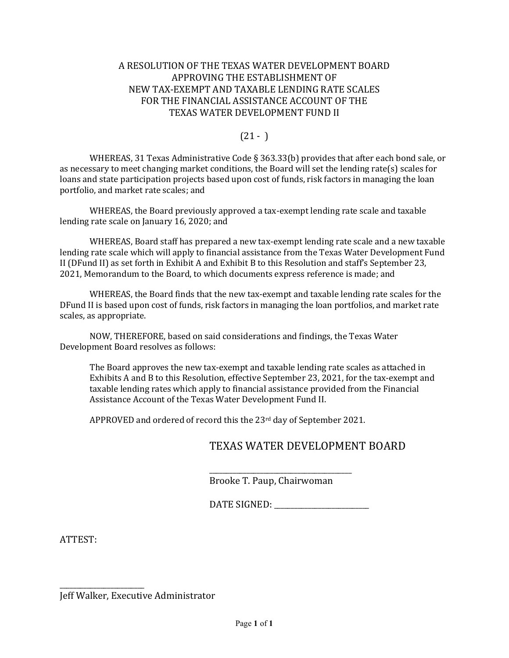#### A RESOLUTION OF THE TEXAS WATER DEVELOPMENT BOARD APPROVING THE ESTABLISHMENT OF NEW TAX-EXEMPT AND TAXABLE LENDING RATE SCALES FOR THE FINANCIAL ASSISTANCE ACCOUNT OF THE TEXAS WATER DEVELOPMENT FUND II

# $(21 - )$

WHEREAS, 31 Texas Administrative Code § 363.33(b) provides that after each bond sale, or as necessary to meet changing market conditions, the Board will set the lending rate(s) scales for loans and state participation projects based upon cost of funds, risk factors in managing the loan portfolio, and market rate scales; and

WHEREAS, the Board previously approved a tax-exempt lending rate scale and taxable lending rate scale on January 16, 2020; and

WHEREAS, Board staff has prepared a new tax-exempt lending rate scale and a new taxable lending rate scale which will apply to financial assistance from the Texas Water Development Fund II (DFund II) as set forth in Exhibit A and Exhibit B to this Resolution and staff's September 23, 2021, Memorandum to the Board, to which documents express reference is made; and

WHEREAS, the Board finds that the new tax-exempt and taxable lending rate scales for the DFund II is based upon cost of funds, risk factors in managing the loan portfolios, and market rate scales, as appropriate.

NOW, THEREFORE, based on said considerations and findings, the Texas Water Development Board resolves as follows:

The Board approves the new tax-exempt and taxable lending rate scales as attached in Exhibits A and B to this Resolution, effective September 23, 2021, for the tax-exempt and taxable lending rates which apply to financial assistance provided from the Financial Assistance Account of the Texas Water Development Fund II.

APPROVED and ordered of record this the 23rd day of September 2021.

# TEXAS WATER DEVELOPMENT BOARD

\_\_\_\_\_\_\_\_\_\_\_\_\_\_\_\_\_\_\_\_\_\_\_\_\_\_\_\_\_\_\_\_\_\_\_\_\_\_\_\_\_\_ Brooke T. Paup, Chairwoman

DATE SIGNED: \_\_\_\_\_\_\_\_\_\_\_\_\_\_\_\_\_\_\_\_\_\_\_\_\_\_\_\_

ATTEST:

\_\_\_\_\_\_\_\_\_\_\_\_\_\_\_\_\_\_\_\_\_\_\_\_\_ Jeff Walker, Executive Administrator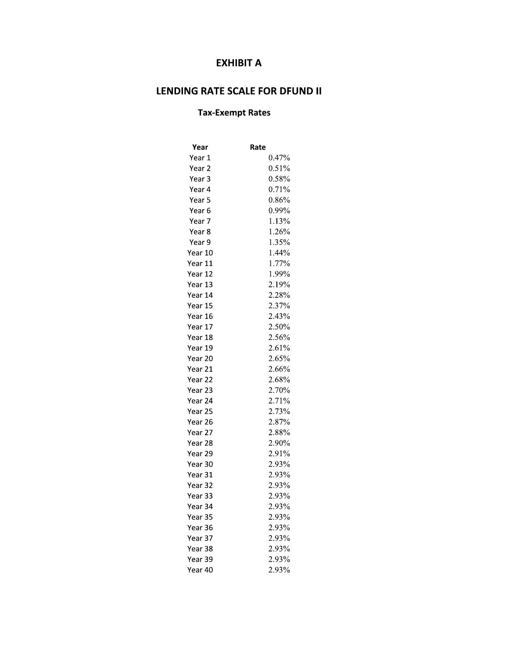# **EXHIBIT A**

# LENDING RATE SCALE FOR DFUND II

## **Tax-Exempt Rates**

| Year    | Rate     |
|---------|----------|
| Year 1  | $0.47\%$ |
| Year 2  | 0.51%    |
| Year 3  | 0.58%    |
| Year 4  | 0.71%    |
| Year 5  | 0.86%    |
| Year 6  | 0.99%    |
| Year 7  | 1.13%    |
| Year 8  | 1.26%    |
| Year 9  | 1.35%    |
| Year 10 | 1.44%    |
| Year 11 | 1.77%    |
| Year 12 | 1.99%    |
| Year 13 | 2.19%    |
| Year 14 | 2.28%    |
| Year 15 | 2.37%    |
| Year 16 | 2.43%    |
| Year 17 | 2.50%    |
| Year 18 | 2.56%    |
| Year 19 | 2.61%    |
| Year 20 | 2.65%    |
| Year 21 | 2.66%    |
| Year 22 | 2.68%    |
| Year 23 | 2.70%    |
| Year 24 | 2.71%    |
| Year 25 | 2.73%    |
| Year 26 | 2.87%    |
| Year 27 | 2.88%    |
| Year 28 | 2.90%    |
| Year 29 | 2.91%    |
| Year 30 | 2.93%    |
| Year 31 | 2.93%    |
| Year 32 | 2.93%    |
| Year 33 | 2.93%    |
| Year 34 | 2.93%    |
| Year 35 | 2.93%    |
| Year 36 | 2.93%    |
| Year 37 | 2.93%    |
| Year 38 | 2.93%    |
| Year 39 | 2.93%    |
| Year 40 | 2.93%    |